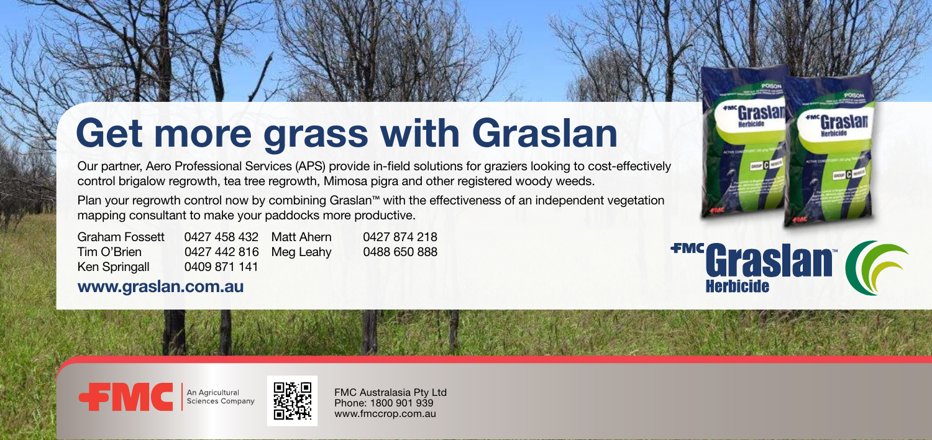### **Get more grass with Graslan**

Our partner, Aero Professional Services (APS) provide in-field solutions for graziers looking to cost-effectively control brigalow regrowth, tea tree regrowth, Mimosa pigra and other registered woody weeds.

Plan your regrowth control now by combining Graslan™ with the effectiveness of an independent vegetation mapping consultant to make your paddocks more productive.

Graham Fossett 0427 458 432 Matt Ahern Tim O'Brien 0427 442 816 Meg Leahy Ken Springall 0409 871 141 0427 874 218 0488 650 888

#### **www.graslan.com.au**

# **FMC Graslan (CALLE STATE)**

**FMC** An Agricultural Disconsit



FMC Australasia Pty Ltd Phone: 1800 901 939 www.fmccrop.com.au